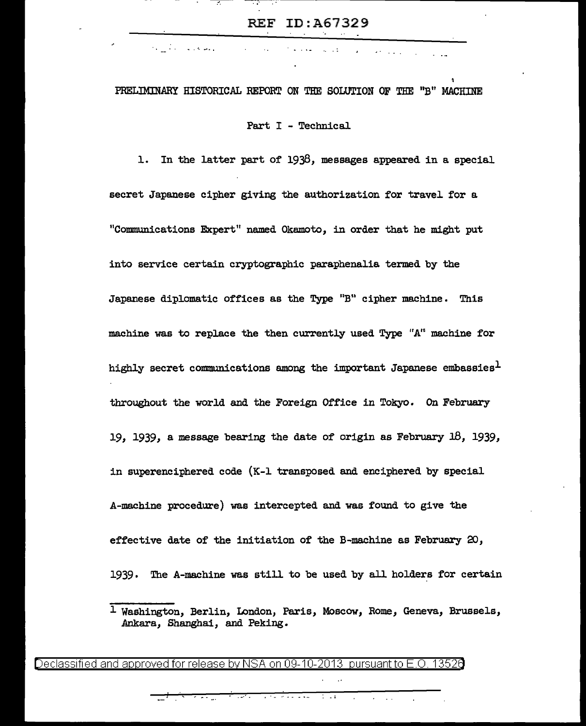$\sim 100$ 

-.-.--- <sup>~</sup>... ---- --------------------------

 $\mathbf{z} = \left( \mathbf{z} \right)$  ,  $\left( \mathbf{z} \right)$  ,  $\left( \mathbf{z} \right)$ 

# PRELIMmARY HISTORICAL REPORT ON THE SOLUTION OF THE "B" MACHINE

e a cal

 $\sim$   $\sim$   $\sim$   $\sim$   $\sim$   $\sim$   $\sim$ 

**College** 

Part I - Technical

1. In the latter part of 1938, messages appeared in a special secret Japanese cipher giving the authorization for travel for a "Communications Expert" named Okamoto, in order that he might put into service certain cryptographic paraphenalia termed by the Japanese diplomatic offices as the Type "B" cipher machine. This machine was to replace the then currently used Type "A" machine for highly secret communications among the important Japanese embassies<sup>1</sup> throughout the world and the Foreign Office in Tokyo. On February 19, 1939, a message bearing the date of origin as February 18, 1939, in superenciphered code (K-1 transposed and enciphered by special A-machine procedure) was intercepted and was found to give the effective date of the initiation of the B-machine as February  $20$ , 1939. The A-machine was still to be used by all holders for certain

Declassified and approved for release by NSA on 09-10-2013 pursuant to E.O. 13526

• -·' • I • • •" ' ' ' '•• • i

<sup>1</sup> Washington, Berlin, London, Paris, Moscow, Rome, Geneva, Brussels, Ankara, Shanghai, and Peking.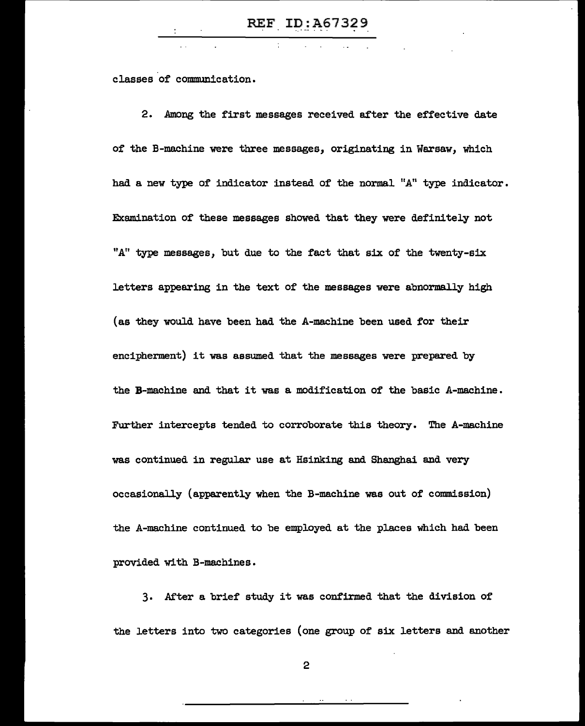classes of communication.

2. Among the first messages received after the effective date of the B-machine were three messages, originating in Warsaw, which had a new type of indicator instead of the normal "A" type indicator. EKamination of these messages showed that they were definitely not "A" type messages, but due to the fact that six of the twenty-six letters appearing in the text of the messages were abnormally high (as they would have been had the A-machine been used for their encipherment) it was assumed that the messages were prepared by the B-machine and that it was a modification of the basic A-machine. Further intercepts tended to corroborate this theory. The A-machine was continued in regular use at Hsinking and Shanghai and very occasionally (apparently when the B-machine was out of commission) the A-machine continued to be employed at the places which had been provided with B-machines.

3. After a brief study it was confirmed that the division of the letters into two categories (one group of six letters and another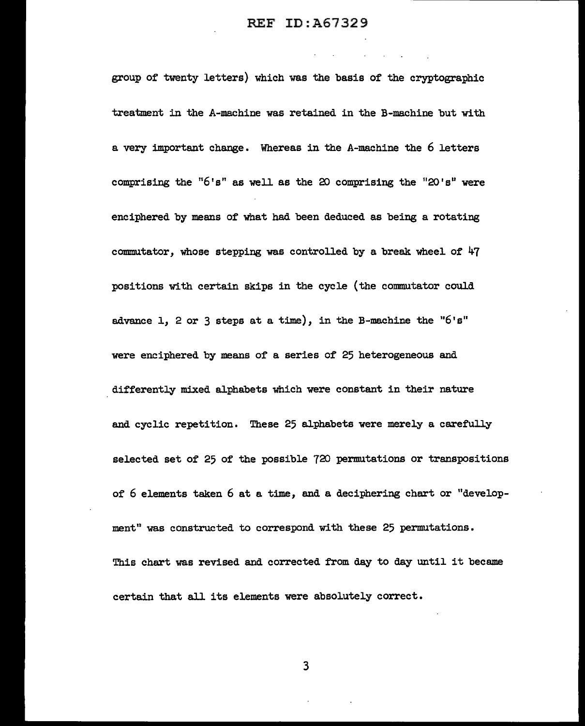the control of the control of the

group of twenty letters) which was the basis of the cryptographic treatment in the A-machine was retained in the B-machine but with a very important change. Whereas in the A-machine the 6 letters comprising the " $6's$ " as well as the 20 comprising the " $20's$ " were enciphered by means of what had been deduced as being a rotating commutator, whose stepping was controlled by a break wheel of  $47$ positions with certain skips in the cycle (the commutator could advance 1, 2 or 3 steps at a time), in the B-machine the " $6's''$ were enciphered by means of a series of 25 heterogeneous and differently mixed alphabets which were constant in their nature and cyclic repetition. These 25 alphabets were merely a carefully selected set of 25 of the possible 720 permutations or transpositions of 6 elements taken 6 at a time, and a deciphering chart or "development" was constructed to correspond with these 25 permutations. This chart was revised and corrected from day to day witil it became certain that all its elements were absolutely correct.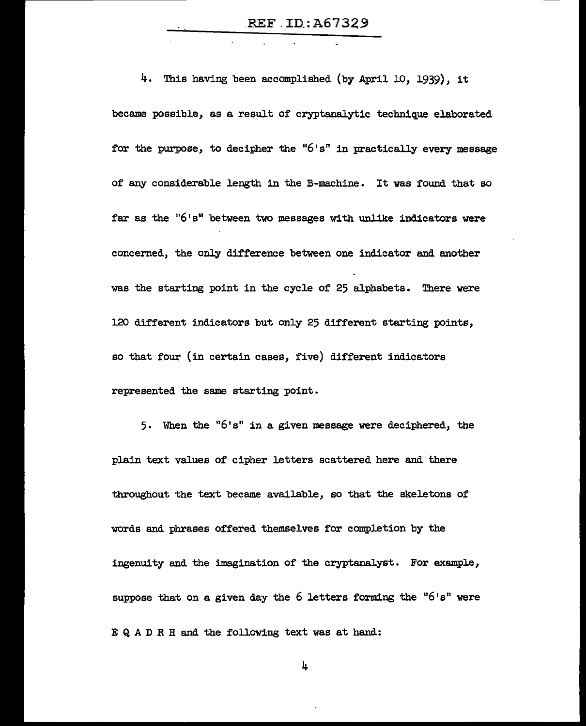.REF. ID:A67329

4. This having been accomplished (by April 10, 1939), it became possible, as a result of cryptanalytic technique elaborated for the purpose, to decipher the " $6's$ " in practically every message of any considerable length in the B-machine • It was found that so far as the "6's" between two messages with unlike indicators were concerned, the only difference between one indicator and another was the starting point in the cycle of 25 alphabets. There were 120 different indicators but only 25 different starting points, so that four (in certain cases, five) different indicators represented the same starting point.

5. When the "6's" in a given message were deciphered, the plain text values of cipher letters scattered here and there throughout the text became available, so that the skeletons of words and phrases offered themselves for completion by the ingenuity and the imagination of the cryptanalyst. For example, suppose that on a given day the  $6$  letters forming the " $6's$ " were E Q A D R H and the following text was at hand: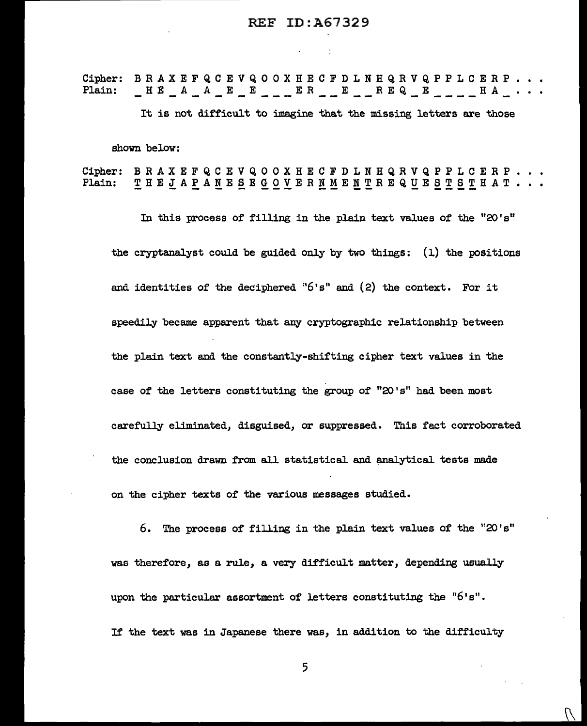Cipher: BRAXEFQCEVQOOXHECFDLNHQRVQPPLCERP...<br>Plain: HEAAEEE ER ERRE HA...  $\begin{array}{l} \begin{array}{l} \begin{array}{l} \begin{array}{l} \end{array} & \begin{array}{l} \end{array} & \begin{array}{l} \end{array} & \begin{array}{l} \end{array} & \begin{array}{l} \end{array} & \begin{array}{l} \end{array} & \begin{array}{l} \end{array} & \begin{array}{l} \end{array} & \begin{array}{l} \end{array} & \begin{array}{l} \end{array} & \begin{array}{l} \end{array} & \begin{array}{l} \end{array} & \begin{array}{l} \end{array} & \begin{array}{l} \end{array} & \begin{array}{l} \end{array} & \begin{array$ It is not difficult to imagine that the missing letters are those shown below:

Cipher: BRAXEFQCEVQOOXHECFDLNHQRVQPPLCERP. Plain: THEJAPANESEGOVERNMENTREQUESTSTHAT...

In this process of filling in the plain text values of the "20's" the cryptanalyst could be guided only by two things: (l) the positions and identities of the deciphered " $6's$ " and  $(2)$  the context. For it speedily became apparent that any cryptographic relationship between the plain text and the constantly-shifting cipher text values in the case of the letters constituting the group of "20's" had been most carefully eliminated, disguised, or suppressed. This fact corroborated the conclusion drawn from all statistical and analytical tests made on the cipher texts of the various messages studied.

6. The process of filling in the plain text values of the "20's" was therefore, as a rule, a very difficult matter, depending usually upon the particular assortment of letters constituting the "6's". If the text was in Japanese there was, in addition to the difficulty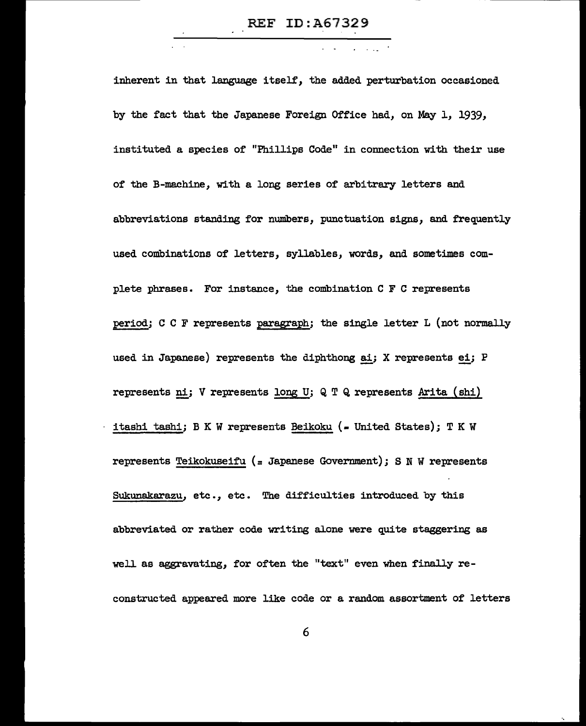inherent in that language itself, the added perturbation occasioned by the fact that the Japanese Foreign Office had, on May l, 1939, instituted a species of "Phillips Code" in connection with their use of the B-machine, with a long series of arbitrary letters and abbreviations standing for numbers, punctuation signs, and frequently used combinations of letters, syllables, words, and sometimes complete phrases. For instance, the combination C F C represents period; C C F represents paragraph; the single letter L (not normally used in Japanese) represents the diphthong ai; X represents  $e i$ ; P represents ni; V represents long U; Q T Q represents Arita (shi) itashi tashi; B K W represents Beikoku (- United States); T K W represents Teikokuseifu (= Japanese Government); S N W represents Sukunakarazu, etc., etc. The difficulties introduced by this abbreviated or rather code writing alone were quite staggering as well as aggravating, for often the "text" even when finally reconstructed appeared more like code or a random assortment of letters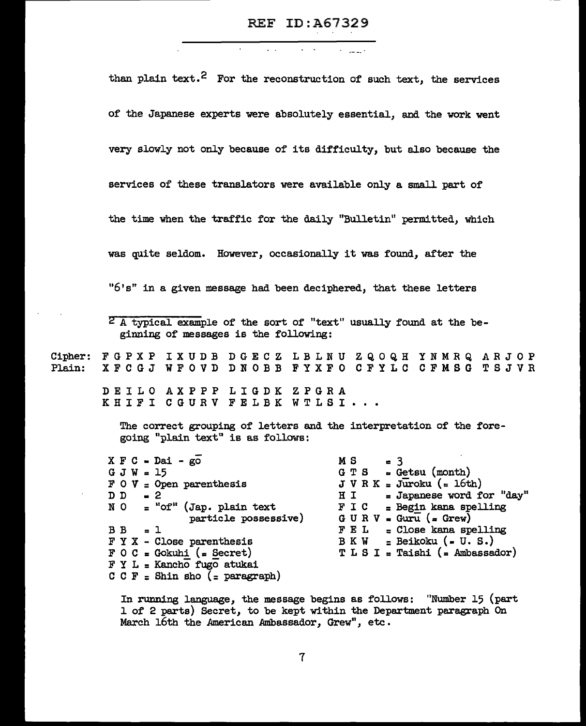Cipher: FGPXP IXUDB DGECZ LBLNU ZQOQH YNMRQ ARJOP Plain: than plain text.<sup>2</sup> For the reconstruction of such text, the services of' the Japanese experts were absolutely essential, and the work went very slowly not only because of its difficulty, but also because the services of' these translators were available only a small part of' the time when the traffic for the daily "Bulletin" permitted, which was quite seldom. However, occasionally it was found, after the " $6's$ " in a given message had been deciphered, that these letters <sup>2</sup> A typical example of the sort of "text" usually found at the beginning of messages is the following: XFCGJ WFOVD DNOBB FYXFO CFYLC CFMSG TSJVR DE I LO AXPPP LIGDK ZPGRA KHIFI CGURV FELBK WTLSI... The correct grouping of letters and the interpretation of the foregoing "plain text" is as follows:  $X \nightharpoondown C = D$ ai - go  $G$  J W = 15 F 0 *V* = Open parenthesis  $\begin{array}{ccc} D & D & -2 \\ N & O & = "c \end{array}$ = "of" (Jap. plain text partic1e possessive)  $B$  B = 1 F Y X - Close parenthesis  $\overline{F}$  0 C = Gokuhi (= Secret)  $F Y L =$  Kancho fugo atukai C C F = Shin sho (= paragraph)  $M S = 3$ <br>GTS = Ge  $=$  Getsu (month)  $J V R K = J \overline{u}$ roku (= 16th)<br>H I = Japanese word fo H I = Japanese word for "day"<br> $F I C = Begin$  kana spelling  $=$  Begin kana spelling  $G \cup R \vee \bullet Gurr\cup \bullet Grew)$  $F E L = C$ lose kana spelling<br>B K W = Beikoku (= U.S.)  $=$  Beikoku ( $=$  U. S.)  $T L S I = Taishi (= Ambassador)$ 

> In rwming language, the message begins as follows: "Number 15 (part l of 2 parts) Secret, to be kept within the Department paragraph On March 16th the American Ambassador, Grew", etc.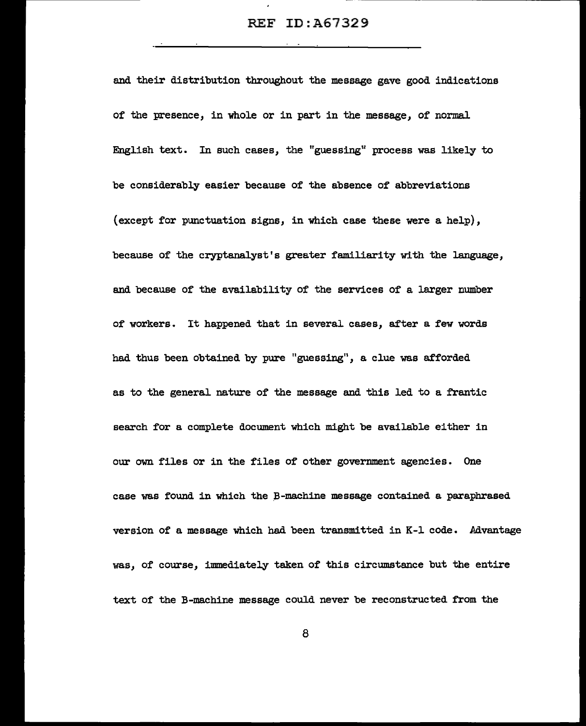and their distribution throughout the message gave good indications of the presence, in whole or in part in the message, of normal English text. In such cases, the "guessing" process was likely to be considerably easier because of the absence of abbreviations (except for punctuation signs, in which case these were a help), because of the cryptanalyst's greater familiarity with the language, and because of the availability of the services of a larger number of workers. It happened that in several cases, after a few words had thus been obtained by pure "guessing", a clue was afforded as to the general nature of the message and this led to a frantic search for a complete document which might be available either in our own files or in the files of other government agencies. One case was found in which the B-machine message contained a paraphrased version of a message which had been transmitted in K-1 code. Advantage was, of course, immediately taken of this circumstance but the entire text of the B-machine message could never be reconstructed from the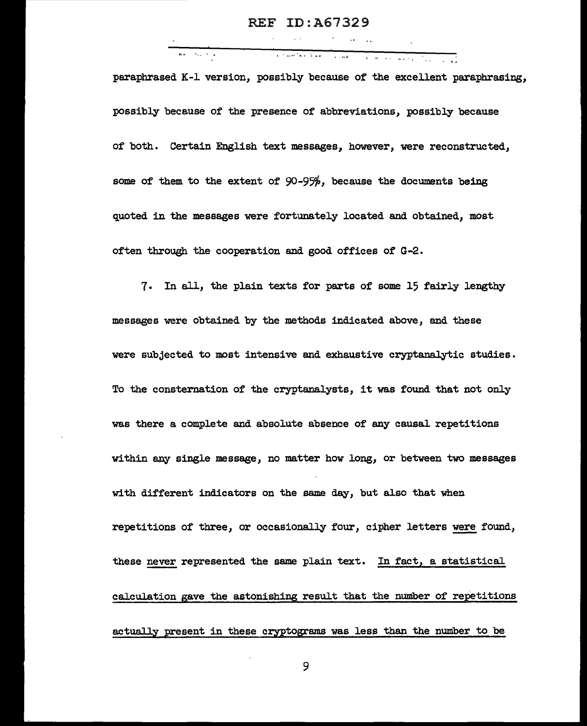.. . . - . -·-·· ... : ... paraphrased K-1 version, possibly because of the excellent paraphrasing, possibly because of the presence of abbreviations, possibly because of both. Certain English text messages, however, were reconstructed, some of them to the extent of 90-95%, because the documents being quoted in the messages were fortunately located and obtained, most often through the cooperation and good offices of G-2.

7. In all, the plain texts for parts of some 15 fairly lengthy messages were obtained by the methods indicated above, and these were subjected to most intensive and exhaustive cryptanalytic studies. To the consternation of the cryptanalysts, it was found that not only was there a complete and absolute absence of any causal repetitions within any single message, no matter how long, or between two messages with different indicators on the same day, but also that when repetitions of three, or occasionally four, cipher letters were found, these never represented the same plain text. In fact, a statistical calculation gave the astonishing result that the number of repetitions actually present in these cryptograms was less than the number to be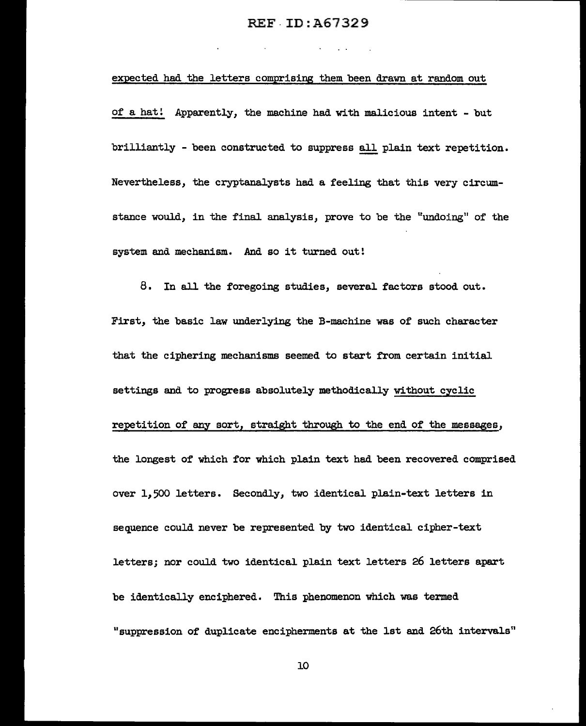### REF-ID:A67329

#### expected had the letters comprising them been drawn at random out

of a hat! Apparently, the machine had with malicious intent - but brilliantly - been constructed to suppress all plain text repetition. Nevertheless, the cryptanalysts had a feeling that this very circumstance would, in the final analysis, prove to be the "undoing" of the system and mechanism. And so it turned out!

8. In all the foregoing studies, several factors stood out. First, the basic law underlying the B-machine was of such character that the ciphering mechanisms seemed to start from certain initial settings and to progress absolutely methodically without cyclic repetition of any sort, straight through to the end of the messages, the longest of which for which plain text had been recovered comprised over 11 500 letters. Secondly, two identical plain-text letters in sequence could never be represented by two identical cipher-text letters; nor could two identical plain text letters 26 letters apart be identically enciphered. This phenomenon which was termed "suppression of duplicate encipherments at the lst and 26th intervals"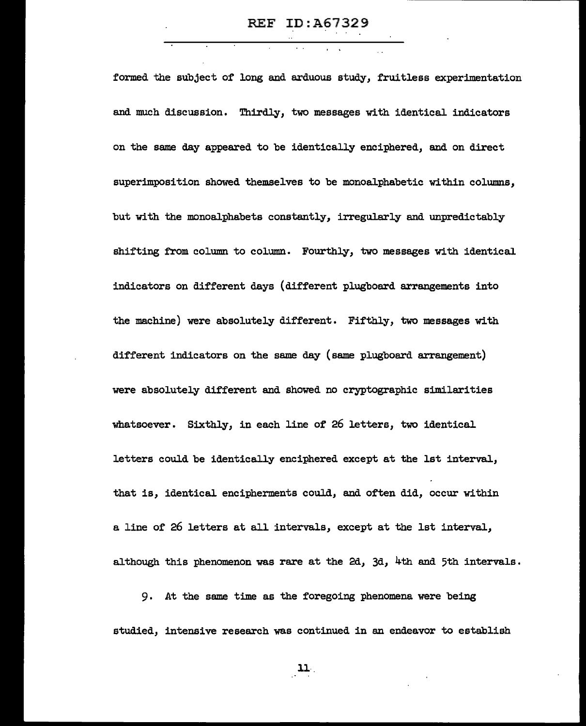formed the subject of long and arduous study, fruitless experimentation and much discussion. Thirdly, two messages with identical indicators on the same day appeared to be identically enciphered, and on direct superimposition showed themselves to be monoalphabetic within columns, but with the monoalphabets constantly, irregularly and unpredictably shifting from column to column. Fourthly, two messages with identical indicators on different days (different plugboard arrangements into the machine) were absolutely different. Fifthly, two messages with different indicators on the same day (same plugboard arrangement) were absolutely different and showed no cryptographic similarities whatsoever. Sixthly, in each line of 26 letters, two identical letters could be identically enciphered except at the 1st interval., that is, identical encipherments could, and often did, occur within a line of 26 letters at all intervals, except at the 1st interval, although this phenomenon was rare at the 2d, 3d, 4th and 5th intervals.

9. At the same time as the foregoing phenomena were being studied, intensive research was continued in an endeavor to establish

11·.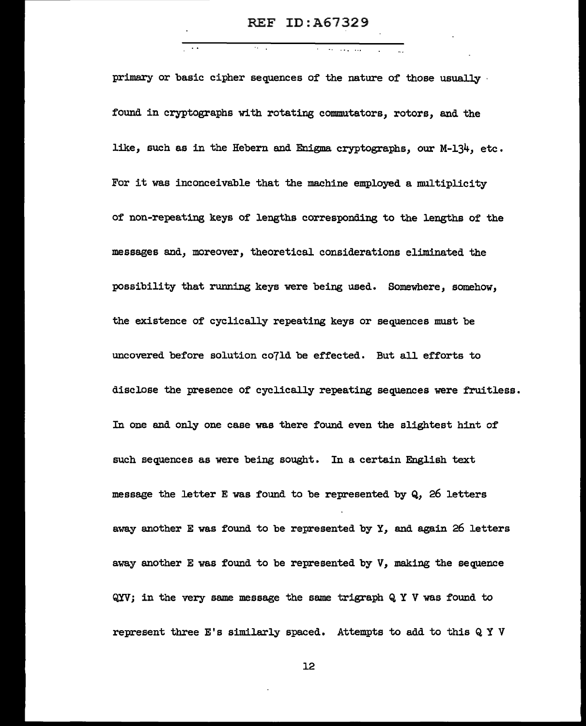$\ddotsc$ 

primary or basic cipher sequences of the nature of those usually · found in cryptographs with rotating commutators, rotors, and the like, such as in the Hebern and Enigma cryptographs, our M-134, etc. For it was inconceivable that the machine employed a multiplicity of non-repeating keys of lengths corresponding to the lengths of the messages and, moreover, theoretical considerations eliminated the possibility that running keys were being used. Somewhere, somehow, the existence of cyclically repeating keys or sequences must be uncovered before solution co7ld be effected. But all efforts to disclose the presence of cyclically repeating sequences were fruitless. In one and only one case was there found even the slightest hint of such sequences as were being sought. In a certain English text message the letter E was found to be represented by Q, 26 letters away another E was found to be represented by Y, and again 26 letters away another E was found to be represented by V, making the sequence QYV; in the very same message the same trigraph Q Y V was found to represent three E's similarly spaced. Attempts to add to this Q Y V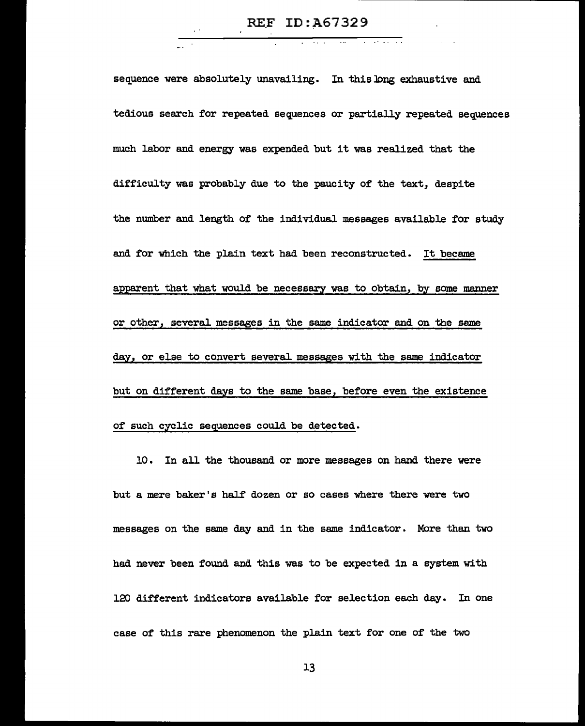sequence were absolutely unavailing. In this long exhaustive and tedious search for repeated sequences or partially repeated sequences much labor and energy was expended but it was realized that the difficulty was probably due to the paucity of the text, despite the number and length of the individual messages available for study and for which the plain text had been reconstructed. It became apparent that what would be necessary was to obtain, by some manner or other, several messages in the same indicator and on the same day, or else to convert several messages with the same indicator but on different days to the same base, before even the existence of such cyclic sequences could be detected.

10. In all the thousand or more messages on hand there were but a mere baker's half dozen or so cases where there were two messages on the same day and in the same indicator. More than two had never been found and this was to be expected in a system with 120 different indicators available for selection each day. In one case of this rare phenomenon the plain text for one of the two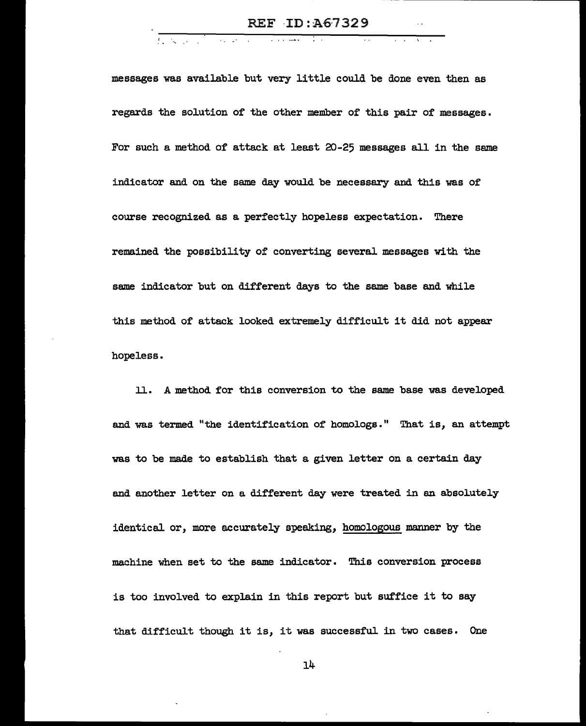$\overline{1}$  ,  $\overline{1}$  ,  $\overline{1}$ 

messages was available but very little could be done even then as regards the solution of the other member of this pair of messages. For such a method of attack at least 20-25 messages all in the same indicator and on the same day would be necessary and this was of course recognized as a perfectly hopeless expectation. There remained the possibility of converting several messages with the same indicator but on different days to the same base and while this method of attack looked extremely difficult it did not appear hopeless.

ll. A method for this conversion to the same base was developed and was termed "the identification of homologs." That is, an attempt was to be made to establish that a given letter on a certain day and another letter on a different day were treated in an absolutely identical or, more accurately speaking, homologous manner by the machine when set to the same indicator. This conversion process is too involved to explain in this report but suffice it to say that difficult though it is, it was successful in two cases. One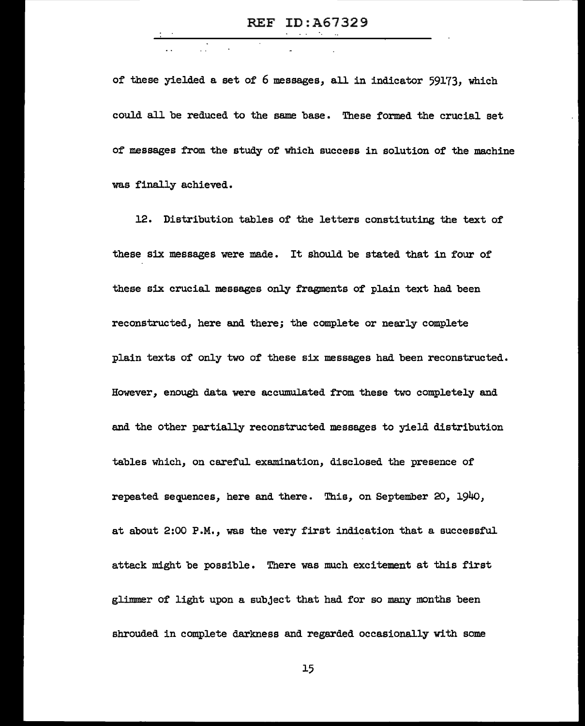of these yielded a set of 6 messages, all in indicator 59173, which could all be reduced to the same base • These formed the crucial set of messages from the study of which success in solution of the machine was finally achieved.

12. Distribution tables of the letters constituting the text of these six messages were made. It should be stated that in four of these six crucial messages only fragments of plain text had been reconstructed, here and there; the complete or nearly complete plain texts of only two of these six messages had been reconstructed. However, enough data were accumulated from these two completely and and the other partially reconstructed messages to yield distribution tables which, on careful examination, disclosed the presence of repeated sequences, here and there. This, on September 20, l94o, at about 2:00 P.M., was the very first indication that a successful attack might be possible. There was much excitement at this first glimmer of light upon a subject that had for so many months been shrouded in complete darkness and regarded occasionally with some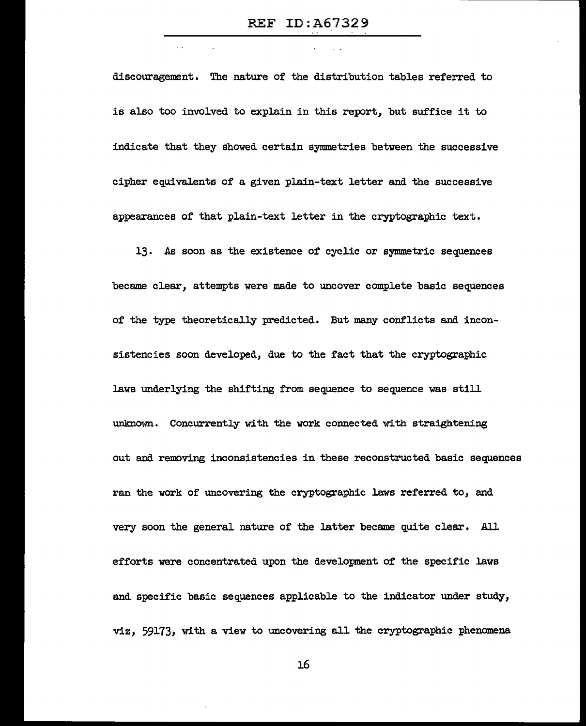$\sim 10^7$ 

discouragement. The nature of the distribution tables referred to is also too involved to explain in this report, but suffice it to indicate that they showed certain symmetries between the successive cipher equivalents of a given plain-text letter and the successive appearances of that plain-text letter in the cryptographic text.

13. As soon as the existence of cyclic or symmetric sequences became clear, attempts were made to uncover complete basic sequences of the type theoretically predicted. But many conflicts and inconsistencies soon developed, due to the fact that the cryptographic laws underlying the shifting from sequence to sequence was still unknown. Concurrently with the work connected with straightening out and removing inconsistencies in these reconstructed basic sequences ran the work of uncovering the cryptographic laws referred to, and very soon the general nature of the latter became quite clear. All efforts were concentrated upon the development of the specific laws and specific basic sequences applicable to the indicator under study, viz, 59173, with a view to uncovering all the cryptographic phenomena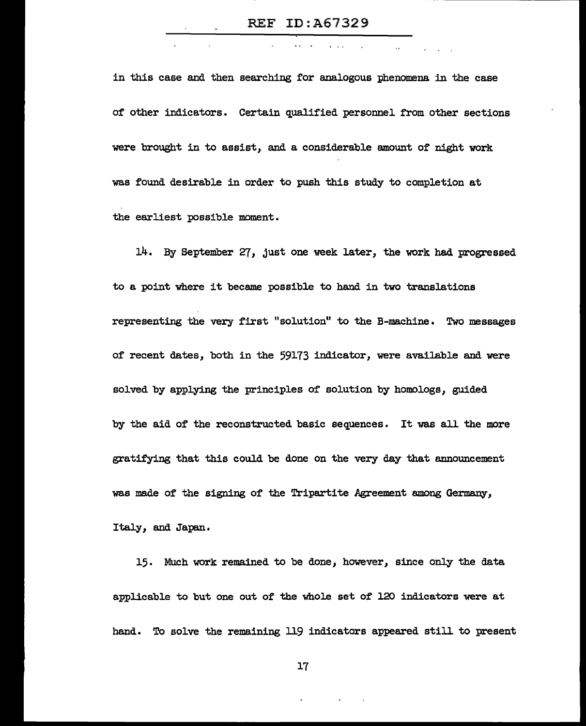$\mathcal{L}_{\mathbf{z}}$  .

in this case and then searching for analogous phenomena in the case of other indicators. Certain qualified personnel from other sections were brought in to assist, and a considerable amount of night work was found desirable in order to push this study to completion at the earliest possible moment.

14. By September 27, just one week later, the work had progressed to a point where it became possible to hand in two translations representing the very first "solution" to the B-machine. Two messages of recent dates, both in the 59173 indicator, were available and were solved by applying the principles of solution by homologs, guided by the aid of the reconstructed basic sequences. It was all the more gratifying that this could be done on the very day that announcement was made of the signing of the Tripartite Agreement among Germany, Italy, and Japan.

15. Much work remained to be done, however, since only the data applicable to but one out of the whole set of 120 indicators were at hand. To solve the remaining 119 indicators appeared still to present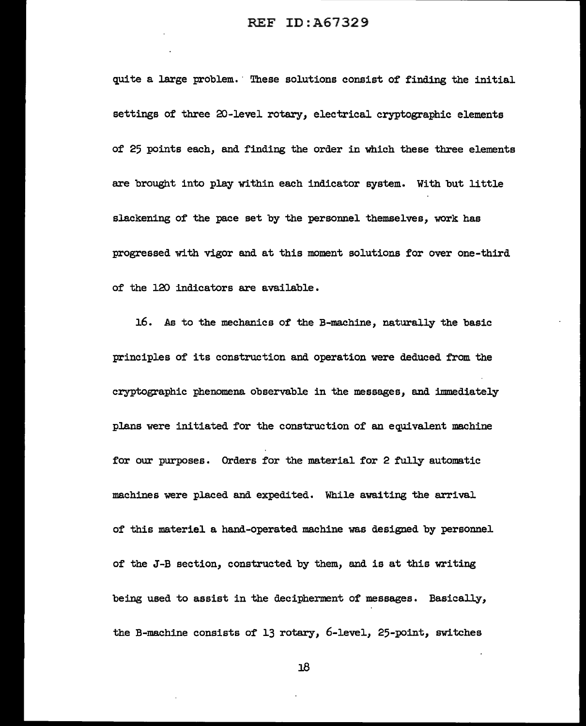quite a large problem. These solutions consist of finding the initial settings of three 20-level rotary, electrical cryptographic elements of 25 points each, and finding the order in which these three elements are brought into play within each indicator system. With but little slackening of the pace set by the personnel themselves, work has progressed with vigor and at this moment solutions for over one-third of the 120 indicators are available.

16. As to the mechanics of the B-machine, naturally the basic principles of its construction and operation were deduced from the cryptographic phenomena observable in the messages, and immediately plans were initiated for the construction of an equivalent machine for our purposes. Orders for the material for 2 fully automatic machines were placed and expedited. While awaiting the arrival of this materiel a hand-operated machine was designed by personnel of the J-B section, constructed by them, and is at this writing being used to assist in the decipherment of messages. Basically, the B-machine consists of 13 rotary, 6-level, 25-point, switches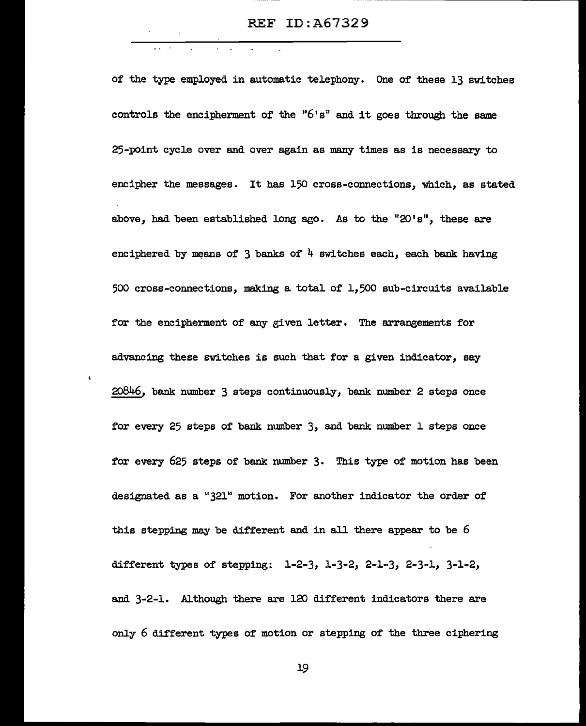of the type employed in automatic telephony. One of these 13 switches controls the encipherment of the " $6's$ " and it goes through the same 25-point cycle over and over again as many times as is necessary to encipher the messages. It has 150 cross-connections, which, as stated above, had been established long ago. As to the " $20's$ ", these are enciphered by means of 3 banks of 4 switches each, each bank having 500 cross-connections, making a total of 1,500 sub-circuits available for the encipherment of any given letter. The arrangements for advancing these switches is such that for a given indicator, say 20846, bank number 3 steps continuously, bank number 2 steps once for every 25 steps of bank number 3, and bank number l steps once for every 625 steps of bank number 3. This type of motion has been designated as a "321" motion. For another indicator the order of this stepping may be different and in all there appear to be 6 different types of stepping: 1-2-3, 1-3-2, 2-1-3, 2-3-1, 3-1-2, and 3-2-1. Although there *are* 120 different indicators there are only 6 different types of motion or stepping of the three ciphering

 $\mathbf{t}$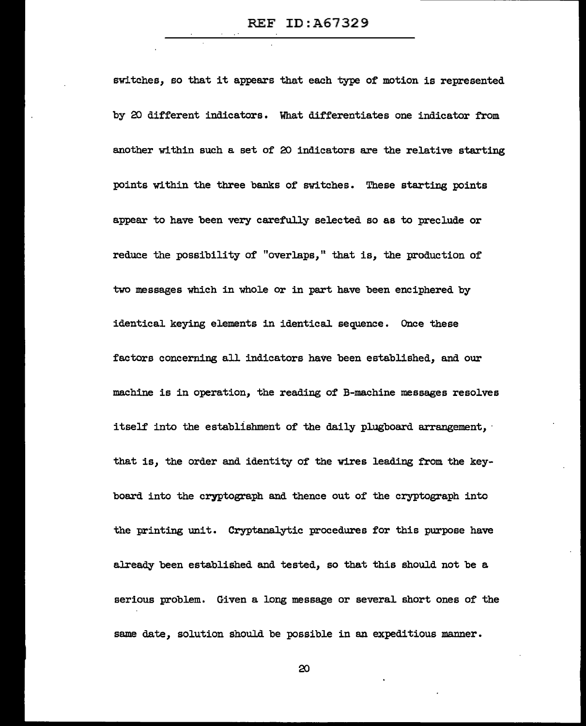switches, so that it appears that each type of motion is represented by 20 different indicators. What differentiates one indicator from another within such a set of 20 indicators are the relative starting points within the three banks of switches. These starting points appear to have been very carefully selected so as to preclude or reduce the possibility of "overlaps," that is, the production of two messages which in whole or in part have been enciphered by identical keying elements in identical sequence. Once these factors concerning all indicators have been established, and our machine is in operation, the reading of B-machine messages resolves itself into the establishment of the daily plugboard arrangement, that is, the order and identity of the wires leading from the keyboard into the cryptograph and thence out of the cryptograph into the printing unit. Cryptanalytic procedures for this purpose have already been established and tested, so that this should not be a serious problem. Given a long message or several short ones of the same date, solution should be possible in an expeditious manner.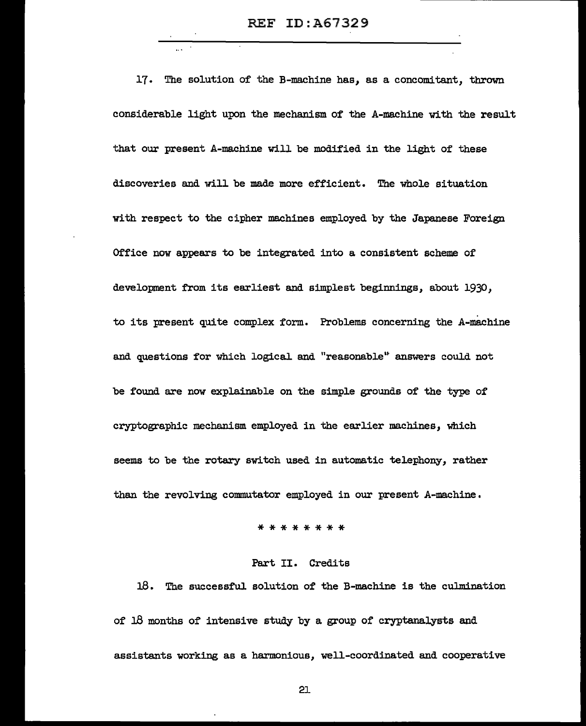REF ID:A67329

17. The solution of the B-machine has, as a concomitant, thrown considerable light upon the mechanism of the A-machine with the result that our present A-machine will be modified in the light of these discoveries and will be made more efficient. The whole situation with respect to the cipher machines employed by the Japanese Foreign Office now appears to be integrated into a consistent scheme of development from its earliest and simplest beginnings, about 1930, to its present quite complex form. Problems concerning the A-machine and questions for which logical and "reasonable" answers could not be found are now explainable on the simple grounds of the type of cryptographic mechanism employed in the earlier machines, which seems to be the rotary switch used in automatic telephony, rather than the revolving commutator employed in our present A-machine.

\*\*\*\*\*\*\*\*

### Part II. Credits

18. The successful. solution of the B-machine is the culmination of 18 months of intensive study by a group of cryptanalysts and assistants working as a harmonious, well-coordinated and cooperative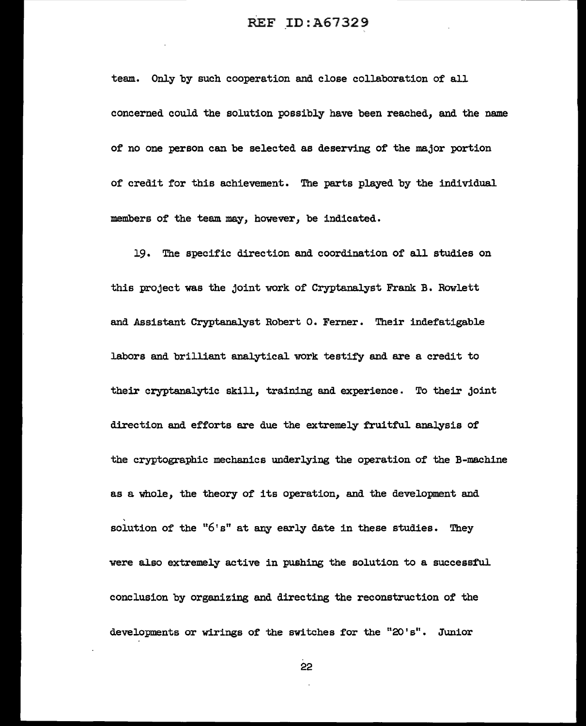team. Only by such cooperation and close collaboration of all concerned could the solution possibly have been reached, and the name of no one person can be selected as deserving of the major portion of credit for this achievement. The parts played by the individual members of the team may, however, be indicated.

19. The specific direction and coordination of all studies on this project was the joint work of Cryptanalyst Frank. B. Rowlett and Assistant Cryptanalyst Robert o. Ferner. Their indefatigable labors and brilliant analytical work testify and are a credit to their cryptanalytic skill, training and experience. To their joint direction and efforts are due the extremely fruitful analysis of the cryptographic mechanics underlying the operation of the B-machine as a whole, the theory of its operation, and the development and solution of the " $6's$ " at any early date in these studies. They were also extremely active in pushing the solution to a successful conclusion by organizing and directing the reconstruction of the developments or wirings of the switches for the "20's". Junior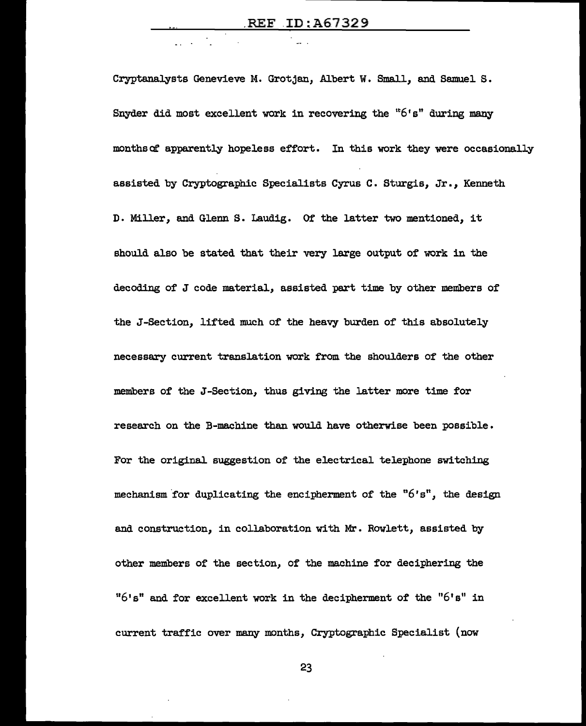Cryptanalysts Genevieve M. Grotjan, Albert W. Small, and Samuel S. Snyder did most excellent work in recovering the "6's" during many months of apparently hopeless effort. In this work they were occasionally assisted by Cryptographic Specialists Cyrus C • Sturgis, Jr. , Kenneth D. Miller, and Glenn S. Laudig. Of the latter two mentioned, it should also be stated that their very large output of work in the decoding of J code material, assisted part time by other members of the J-Section, lifted much of the heavy burden of this absolutely necessary current translation work from the shoulders of the other members of the J-Section, thus giving the latter more time for research on the B-machine than would have otherwise been possible. For the original suggestion of the electrical telephone switching mechanism for duplicating the encipherment of the  $"6's"$ , the design and construction, in collaboration with Mr. Rowlett, assisted by other members of the section, of the machine for deciphering the " $6! s$ " and for excellent work in the decipherment of the " $6! s$ " in current traffic over many months, Cryptographic Specialist (now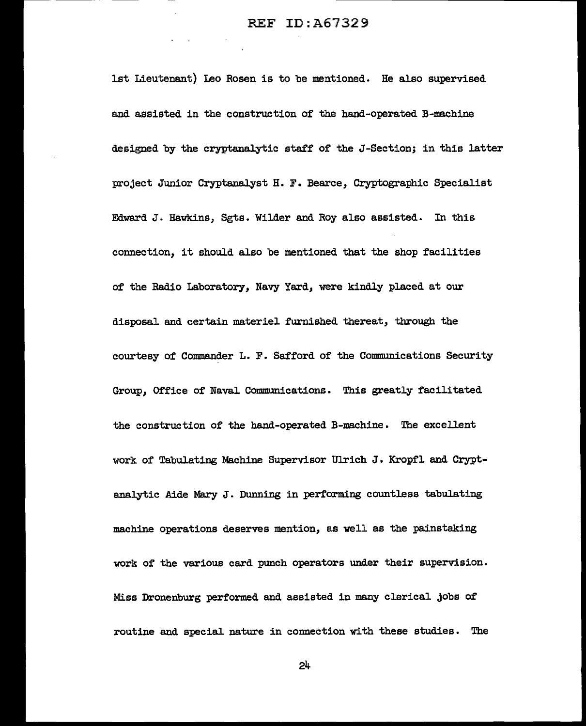1st Lieutenant) Ieo Rosen is to be mentioned. He also supervised and assisted in the construction of the hand-operated B-machine designed by the cryptanalytic staff of the J-Section; in this latter project Junior Cryptanalyst H. F. Bearce, Cryptographic Specialist Edward J. Hawkins, Sgts. Wilder and Roy also assisted. In this connection, it should also be mentioned that the shop facilities of the Radio Laboratory, Navy Yard, were kindly placed at our disposal and certain materiel furnished thereat, through the courtesy of Commander L. F. Safford of the Communications Security Group, Office of Naval Communications. This greatly facilitated the construction of the hand-operated B-machine. The excellent work of Tabulating Machine Supervisor Ulrich J. Kropfl and Cryptanalytic Aide Mary J. Dunning in performing countless tabulating machine operations deserves mention, as well as the painstaking work of the various card punch operators under their supervision. Miss Dronenburg performed and assisted in many clerical jobs of routine and special. nature in connection with these studies. The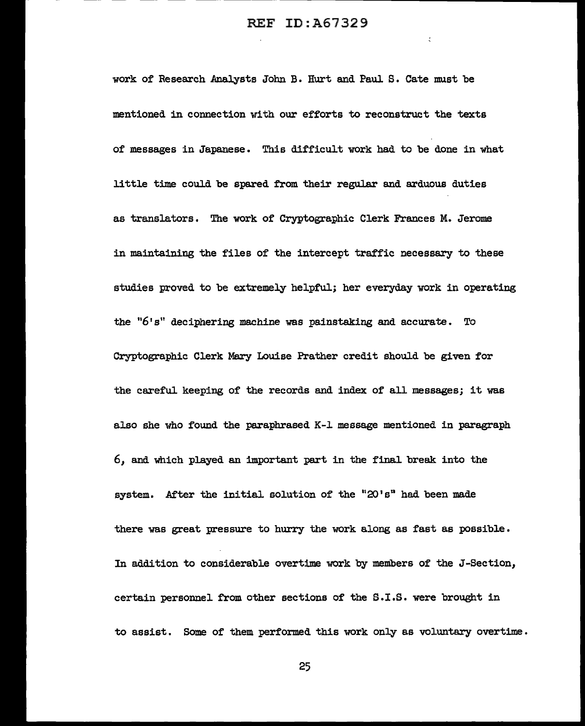-- - --· ----·· -------------------------

 $\zeta$ 

work of' Research Analysts John B. Hurt and Paul s. Cate must be mentioned in connection with our efforts to reconstruct the texts of messages in Japanese. This difficult work had to be done in what little time could be spared from their regular and arduous duties as translators. The work of' Cryptographic Clerk Frances M. Jerome in maintaining the files of the intercept traffic necessary to these studies proved to be extremely helpful; her everyday work in operating the "6's" deciphering machine was painstaking and accurate. To Cryptographic Clerk Mary Louise Prather credit should be given for the careful keeping of the records and index of' all messages; it was also she who found the paraphrased K-1 message mentioned in paragraph *6*1 and which played an important part in the final. break into the system. After the initial solution of the " $20' s$ " had been made there was great pressure to hurry the work along as fast as possible. In addition to considerable overtime work by members of' the J-Section, certain personnel from other sections of the S.I.S. were brought in to assist. Some of them performed this work only as voluntary overtime.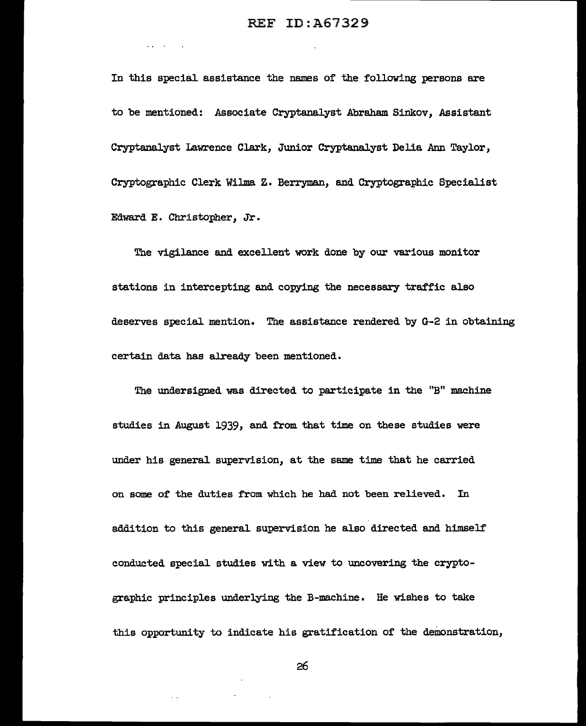**Carl Committee** 

In this special assistance the names of the following persons are to be mentioned: Associate Cryptanalyst Abraham. Sinkov, Assistant Cryptanalyst Lawrence Clark, Junior Cryptanalyst Delia Ann Taylor, Cryptographic Clerk Wilma z. Berryman, and Cryptographic Specialist Edward E. Christopher, Jr.

The vigilance and excellent work done by our various monitor stations in intercepting and copying the necessary traffic also deserves special mention. The assistance rendered by G-2 in obtaining certain data has already been mentioned.

The undersigned was directed to participate in the "B" machine studies in August 1939, and from that time on these studies were under his general supervision, at the same time that he carried on some of the duties from which he had not been relieved. In addition to this general supervision he also directed and himself conducted special studies with a view to uncovering the cryptographic principles underlying the B-machine. He wishes to take this opportunity to indicate his gratification of the demonstration,

26

 $\sim$   $\sim$